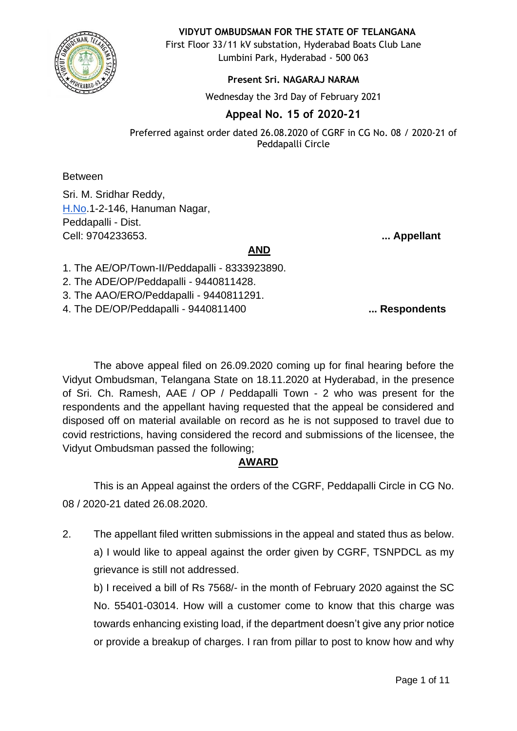

#### **VIDYUT OMBUDSMAN FOR THE STATE OF TELANGANA**

First Floor 33/11 kV substation, Hyderabad Boats Club Lane Lumbini Park, Hyderabad - 500 063

#### **Present Sri. NAGARAJ NARAM**

Wednesday the 3rd Day of February 2021

# **Appeal No. 15 of 2020-21**

Preferred against order dated 26.08.2020 of CGRF in CG No. 08 / 2020-21 of Peddapalli Circle

**Between** 

Sri. M. Sridhar Reddy, [H.No](http://h.no/).1-2-146, Hanuman Nagar, Peddapalli - Dist. Cell: 9704233653. **... Appellant**

### **AND**

1. The AE/OP/Town-II/Peddapalli - 8333923890.

2. The ADE/OP/Peddapalli - 9440811428.

3. The AAO/ERO/Peddapalli - 9440811291.

4. The DE/OP/Peddapalli - 9440811400 **... Respondents** 

The above appeal filed on 26.09.2020 coming up for final hearing before the Vidyut Ombudsman, Telangana State on 18.11.2020 at Hyderabad, in the presence of Sri. Ch. Ramesh, AAE / OP / Peddapalli Town - 2 who was present for the respondents and the appellant having requested that the appeal be considered and disposed off on material available on record as he is not supposed to travel due to covid restrictions, having considered the record and submissions of the licensee, the Vidyut Ombudsman passed the following;

# **AWARD**

This is an Appeal against the orders of the CGRF, Peddapalli Circle in CG No. 08 / 2020-21 dated 26.08.2020.

2. The appellant filed written submissions in the appeal and stated thus as below. a) I would like to appeal against the order given by CGRF, TSNPDCL as my grievance is still not addressed.

b) I received a bill of Rs 7568/- in the month of February 2020 against the SC No. 55401-03014. How will a customer come to know that this charge was towards enhancing existing load, if the department doesn't give any prior notice or provide a breakup of charges. I ran from pillar to post to know how and why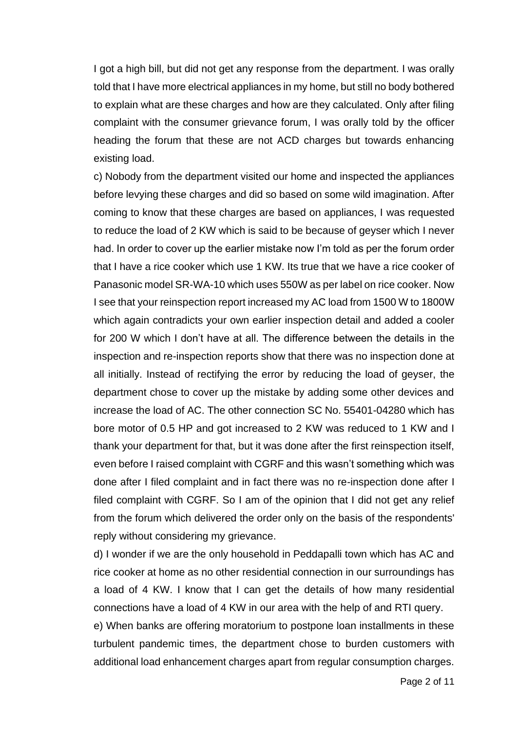I got a high bill, but did not get any response from the department. I was orally told that I have more electrical appliances in my home, but still no body bothered to explain what are these charges and how are they calculated. Only after filing complaint with the consumer grievance forum, I was orally told by the officer heading the forum that these are not ACD charges but towards enhancing existing load.

c) Nobody from the department visited our home and inspected the appliances before levying these charges and did so based on some wild imagination. After coming to know that these charges are based on appliances, I was requested to reduce the load of 2 KW which is said to be because of geyser which I never had. In order to cover up the earlier mistake now I'm told as per the forum order that I have a rice cooker which use 1 KW. Its true that we have a rice cooker of Panasonic model SR-WA-10 which uses 550W as per label on rice cooker. Now I see that your reinspection report increased my AC load from 1500 W to 1800W which again contradicts your own earlier inspection detail and added a cooler for 200 W which I don't have at all. The difference between the details in the inspection and re-inspection reports show that there was no inspection done at all initially. Instead of rectifying the error by reducing the load of geyser, the department chose to cover up the mistake by adding some other devices and increase the load of AC. The other connection SC No. 55401-04280 which has bore motor of 0.5 HP and got increased to 2 KW was reduced to 1 KW and I thank your department for that, but it was done after the first reinspection itself, even before I raised complaint with CGRF and this wasn't something which was done after I filed complaint and in fact there was no re-inspection done after I filed complaint with CGRF. So I am of the opinion that I did not get any relief from the forum which delivered the order only on the basis of the respondents' reply without considering my grievance.

d) I wonder if we are the only household in Peddapalli town which has AC and rice cooker at home as no other residential connection in our surroundings has a load of 4 KW. I know that I can get the details of how many residential connections have a load of 4 KW in our area with the help of and RTI query.

e) When banks are offering moratorium to postpone loan installments in these turbulent pandemic times, the department chose to burden customers with additional load enhancement charges apart from regular consumption charges.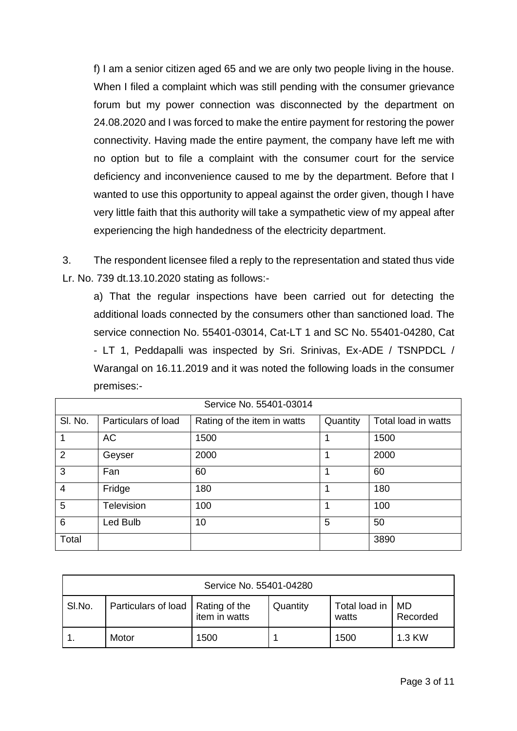f) I am a senior citizen aged 65 and we are only two people living in the house. When I filed a complaint which was still pending with the consumer grievance forum but my power connection was disconnected by the department on 24.08.2020 and I was forced to make the entire payment for restoring the power connectivity. Having made the entire payment, the company have left me with no option but to file a complaint with the consumer court for the service deficiency and inconvenience caused to me by the department. Before that I wanted to use this opportunity to appeal against the order given, though I have very little faith that this authority will take a sympathetic view of my appeal after experiencing the high handedness of the electricity department.

3. The respondent licensee filed a reply to the representation and stated thus vide Lr. No. 739 dt.13.10.2020 stating as follows:-

a) That the regular inspections have been carried out for detecting the additional loads connected by the consumers other than sanctioned load. The service connection No. 55401-03014, Cat-LT 1 and SC No. 55401-04280, Cat - LT 1, Peddapalli was inspected by Sri. Srinivas, Ex-ADE / TSNPDCL / Warangal on 16.11.2019 and it was noted the following loads in the consumer premises:-

| Service No. 55401-03014 |                     |                             |          |                     |  |
|-------------------------|---------------------|-----------------------------|----------|---------------------|--|
| SI. No.                 | Particulars of load | Rating of the item in watts | Quantity | Total load in watts |  |
| 1                       | <b>AC</b>           | 1500                        | 1        | 1500                |  |
| $\overline{2}$          | Geyser              | 2000                        |          | 2000                |  |
| 3                       | Fan                 | 60                          | 4        | 60                  |  |
| $\overline{4}$          | Fridge              | 180                         | 1        | 180                 |  |
| 5                       | Television          | 100                         | 1        | 100                 |  |
| 6                       | Led Bulb            | 10                          | 5        | 50                  |  |
| Total                   |                     |                             |          | 3890                |  |

| Service No. 55401-04280 |                                     |               |          |                        |                |  |
|-------------------------|-------------------------------------|---------------|----------|------------------------|----------------|--|
| SI.No.                  | Particulars of load   Rating of the | item in watts | Quantity | Total load in<br>watts | MD<br>Recorded |  |
|                         | Motor                               | 1500          |          | 1500                   | 1.3 KW         |  |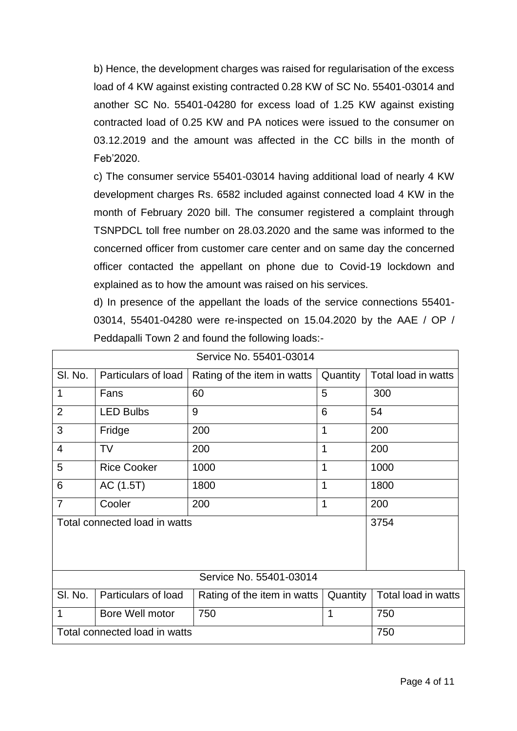b) Hence, the development charges was raised for regularisation of the excess load of 4 KW against existing contracted 0.28 KW of SC No. 55401-03014 and another SC No. 55401-04280 for excess load of 1.25 KW against existing contracted load of 0.25 KW and PA notices were issued to the consumer on 03.12.2019 and the amount was affected in the CC bills in the month of Feb'2020.

c) The consumer service 55401-03014 having additional load of nearly 4 KW development charges Rs. 6582 included against connected load 4 KW in the month of February 2020 bill. The consumer registered a complaint through TSNPDCL toll free number on 28.03.2020 and the same was informed to the concerned officer from customer care center and on same day the concerned officer contacted the appellant on phone due to Covid-19 lockdown and explained as to how the amount was raised on his services.

d) In presence of the appellant the loads of the service connections 55401- 03014, 55401-04280 were re-inspected on 15.04.2020 by the AAE / OP / Peddapalli Town 2 and found the following loads:-

| Service No. 55401-03014       |                     |                                                                |             |                     |  |
|-------------------------------|---------------------|----------------------------------------------------------------|-------------|---------------------|--|
| SI. No.                       | Particulars of load | Rating of the item in watts                                    | Quantity    | Total load in watts |  |
| 1                             | Fans                | 60                                                             | 5           | 300                 |  |
| $\overline{2}$                | <b>LED Bulbs</b>    | 9                                                              | 6           | 54                  |  |
| 3                             | Fridge              | 200                                                            | 1           | 200                 |  |
| $\overline{4}$                | <b>TV</b>           | 200                                                            | $\mathbf 1$ | 200                 |  |
| 5                             | <b>Rice Cooker</b>  | 1000                                                           | 1           | 1000                |  |
| 6                             | AC (1.5T)           | 1800                                                           | 1           | 1800                |  |
| $\overline{7}$                | Cooler              | 200                                                            | 1           | 200                 |  |
| Total connected load in watts |                     |                                                                |             | 3754                |  |
| Service No. 55401-03014       |                     |                                                                |             |                     |  |
| SI. No.                       | Particulars of load | Total load in watts<br>Quantity<br>Rating of the item in watts |             |                     |  |
| 1                             | Bore Well motor     | 750                                                            | 1           | 750                 |  |
| Total connected load in watts |                     |                                                                |             | 750                 |  |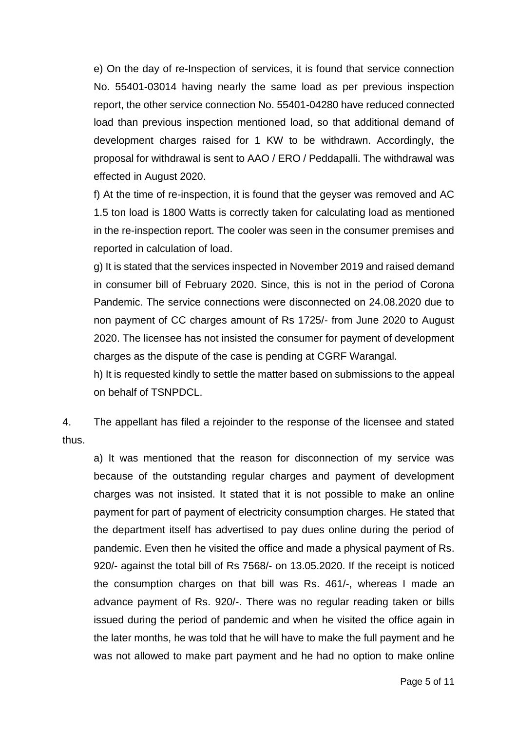e) On the day of re-Inspection of services, it is found that service connection No. 55401-03014 having nearly the same load as per previous inspection report, the other service connection No. 55401-04280 have reduced connected load than previous inspection mentioned load, so that additional demand of development charges raised for 1 KW to be withdrawn. Accordingly, the proposal for withdrawal is sent to AAO / ERO / Peddapalli. The withdrawal was effected in August 2020.

f) At the time of re-inspection, it is found that the geyser was removed and AC 1.5 ton load is 1800 Watts is correctly taken for calculating load as mentioned in the re-inspection report. The cooler was seen in the consumer premises and reported in calculation of load.

g) It is stated that the services inspected in November 2019 and raised demand in consumer bill of February 2020. Since, this is not in the period of Corona Pandemic. The service connections were disconnected on 24.08.2020 due to non payment of CC charges amount of Rs 1725/- from June 2020 to August 2020. The licensee has not insisted the consumer for payment of development charges as the dispute of the case is pending at CGRF Warangal.

h) It is requested kindly to settle the matter based on submissions to the appeal on behalf of TSNPDCL.

4. The appellant has filed a rejoinder to the response of the licensee and stated thus.

a) It was mentioned that the reason for disconnection of my service was because of the outstanding regular charges and payment of development charges was not insisted. It stated that it is not possible to make an online payment for part of payment of electricity consumption charges. He stated that the department itself has advertised to pay dues online during the period of pandemic. Even then he visited the office and made a physical payment of Rs. 920/- against the total bill of Rs 7568/- on 13.05.2020. If the receipt is noticed the consumption charges on that bill was Rs. 461/-, whereas I made an advance payment of Rs. 920/-. There was no regular reading taken or bills issued during the period of pandemic and when he visited the office again in the later months, he was told that he will have to make the full payment and he was not allowed to make part payment and he had no option to make online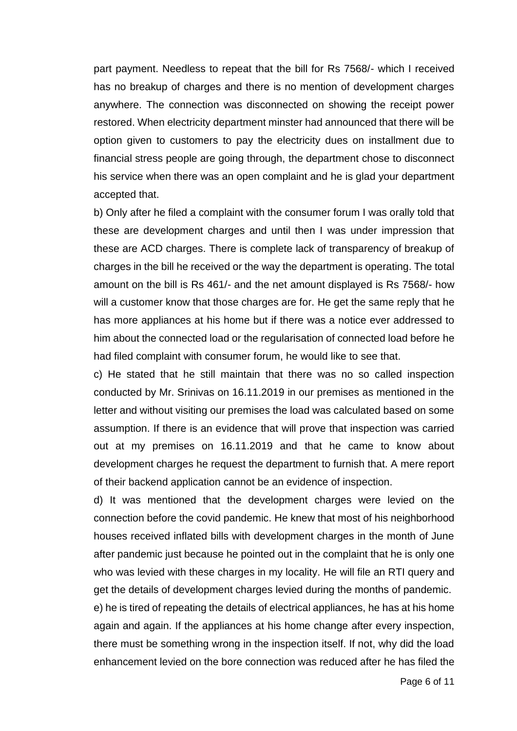part payment. Needless to repeat that the bill for Rs 7568/- which I received has no breakup of charges and there is no mention of development charges anywhere. The connection was disconnected on showing the receipt power restored. When electricity department minster had announced that there will be option given to customers to pay the electricity dues on installment due to financial stress people are going through, the department chose to disconnect his service when there was an open complaint and he is glad your department accepted that.

b) Only after he filed a complaint with the consumer forum I was orally told that these are development charges and until then I was under impression that these are ACD charges. There is complete lack of transparency of breakup of charges in the bill he received or the way the department is operating. The total amount on the bill is Rs 461/- and the net amount displayed is Rs 7568/- how will a customer know that those charges are for. He get the same reply that he has more appliances at his home but if there was a notice ever addressed to him about the connected load or the regularisation of connected load before he had filed complaint with consumer forum, he would like to see that.

c) He stated that he still maintain that there was no so called inspection conducted by Mr. Srinivas on 16.11.2019 in our premises as mentioned in the letter and without visiting our premises the load was calculated based on some assumption. If there is an evidence that will prove that inspection was carried out at my premises on 16.11.2019 and that he came to know about development charges he request the department to furnish that. A mere report of their backend application cannot be an evidence of inspection.

d) It was mentioned that the development charges were levied on the connection before the covid pandemic. He knew that most of his neighborhood houses received inflated bills with development charges in the month of June after pandemic just because he pointed out in the complaint that he is only one who was levied with these charges in my locality. He will file an RTI query and get the details of development charges levied during the months of pandemic.

e) he is tired of repeating the details of electrical appliances, he has at his home again and again. If the appliances at his home change after every inspection, there must be something wrong in the inspection itself. If not, why did the load enhancement levied on the bore connection was reduced after he has filed the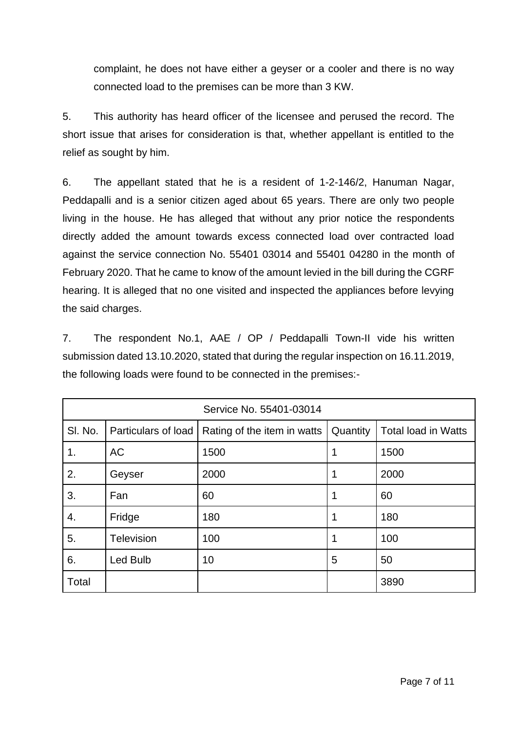complaint, he does not have either a geyser or a cooler and there is no way connected load to the premises can be more than 3 KW.

5. This authority has heard officer of the licensee and perused the record. The short issue that arises for consideration is that, whether appellant is entitled to the relief as sought by him.

6. The appellant stated that he is a resident of 1-2-146/2, Hanuman Nagar, Peddapalli and is a senior citizen aged about 65 years. There are only two people living in the house. He has alleged that without any prior notice the respondents directly added the amount towards excess connected load over contracted load against the service connection No. 55401 03014 and 55401 04280 in the month of February 2020. That he came to know of the amount levied in the bill during the CGRF hearing. It is alleged that no one visited and inspected the appliances before levying the said charges.

7. The respondent No.1, AAE / OP / Peddapalli Town-II vide his written submission dated 13.10.2020, stated that during the regular inspection on 16.11.2019, the following loads were found to be connected in the premises:-

| Service No. 55401-03014 |                     |                             |          |                            |  |
|-------------------------|---------------------|-----------------------------|----------|----------------------------|--|
| SI. No.                 | Particulars of load | Rating of the item in watts | Quantity | <b>Total load in Watts</b> |  |
| 1.                      | <b>AC</b>           | 1500                        |          | 1500                       |  |
| 2.                      | Geyser              | 2000                        | 1        | 2000                       |  |
| 3.                      | Fan                 | 60                          | 1        | 60                         |  |
| 4.                      | Fridge              | 180                         |          | 180                        |  |
| 5.                      | <b>Television</b>   | 100                         | 1        | 100                        |  |
| 6.                      | Led Bulb            | 10                          | 5        | 50                         |  |
| Total                   |                     |                             |          | 3890                       |  |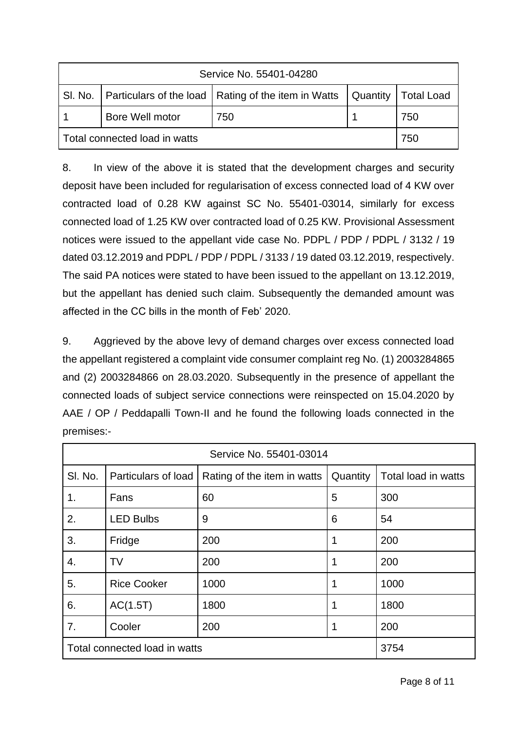| Service No. 55401-04280                                                                 |                 |     |  |     |  |  |
|-----------------------------------------------------------------------------------------|-----------------|-----|--|-----|--|--|
| SI. No.   Particulars of the load   Rating of the item in Watts   Quantity   Total Load |                 |     |  |     |  |  |
|                                                                                         | Bore Well motor | 750 |  | 750 |  |  |
| Total connected load in watts                                                           | 750             |     |  |     |  |  |

8. In view of the above it is stated that the development charges and security deposit have been included for regularisation of excess connected load of 4 KW over contracted load of 0.28 KW against SC No. 55401-03014, similarly for excess connected load of 1.25 KW over contracted load of 0.25 KW. Provisional Assessment notices were issued to the appellant vide case No. PDPL / PDP / PDPL / 3132 / 19 dated 03.12.2019 and PDPL / PDP / PDPL / 3133 / 19 dated 03.12.2019, respectively. The said PA notices were stated to have been issued to the appellant on 13.12.2019, but the appellant has denied such claim. Subsequently the demanded amount was affected in the CC bills in the month of Feb' 2020.

9. Aggrieved by the above levy of demand charges over excess connected load the appellant registered a complaint vide consumer complaint reg No. (1) 2003284865 and (2) 2003284866 on 28.03.2020. Subsequently in the presence of appellant the connected loads of subject service connections were reinspected on 15.04.2020 by AAE / OP / Peddapalli Town-II and he found the following loads connected in the premises:-

| Service No. 55401-03014       |                     |                             |          |                     |  |
|-------------------------------|---------------------|-----------------------------|----------|---------------------|--|
| SI. No.                       | Particulars of load | Rating of the item in watts | Quantity | Total load in watts |  |
| 1 <sub>1</sub>                | Fans                | 60                          | 5        | 300                 |  |
| 2.                            | <b>LED Bulbs</b>    | 9                           | 6        | 54                  |  |
| 3.                            | Fridge              | 200                         | 1        | 200                 |  |
| 4.                            | TV                  | 200                         |          | 200                 |  |
| 5.                            | <b>Rice Cooker</b>  | 1000                        |          | 1000                |  |
| 6.                            | AC(1.5T)            | 1800                        |          | 1800                |  |
| 7.                            | Cooler              | 200                         | 1        | 200                 |  |
| Total connected load in watts |                     |                             |          | 3754                |  |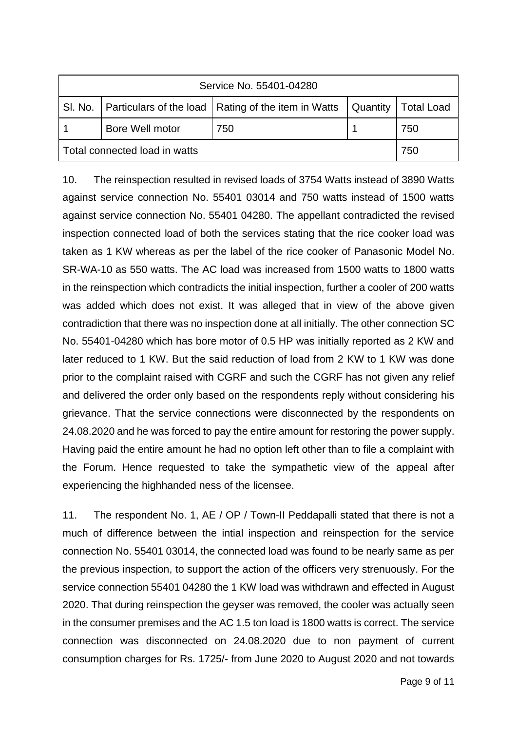| Service No. 55401-04280                                                                 |                 |     |  |     |  |  |
|-----------------------------------------------------------------------------------------|-----------------|-----|--|-----|--|--|
| SI. No.   Particulars of the load   Rating of the item in Watts   Quantity   Total Load |                 |     |  |     |  |  |
|                                                                                         | Bore Well motor | 750 |  | 750 |  |  |
| Total connected load in watts                                                           | 750             |     |  |     |  |  |

10. The reinspection resulted in revised loads of 3754 Watts instead of 3890 Watts against service connection No. 55401 03014 and 750 watts instead of 1500 watts against service connection No. 55401 04280. The appellant contradicted the revised inspection connected load of both the services stating that the rice cooker load was taken as 1 KW whereas as per the label of the rice cooker of Panasonic Model No. SR-WA-10 as 550 watts. The AC load was increased from 1500 watts to 1800 watts in the reinspection which contradicts the initial inspection, further a cooler of 200 watts was added which does not exist. It was alleged that in view of the above given contradiction that there was no inspection done at all initially. The other connection SC No. 55401-04280 which has bore motor of 0.5 HP was initially reported as 2 KW and later reduced to 1 KW. But the said reduction of load from 2 KW to 1 KW was done prior to the complaint raised with CGRF and such the CGRF has not given any relief and delivered the order only based on the respondents reply without considering his grievance. That the service connections were disconnected by the respondents on 24.08.2020 and he was forced to pay the entire amount for restoring the power supply. Having paid the entire amount he had no option left other than to file a complaint with the Forum. Hence requested to take the sympathetic view of the appeal after experiencing the highhanded ness of the licensee.

11. The respondent No. 1, AE / OP / Town-II Peddapalli stated that there is not a much of difference between the intial inspection and reinspection for the service connection No. 55401 03014, the connected load was found to be nearly same as per the previous inspection, to support the action of the officers very strenuously. For the service connection 55401 04280 the 1 KW load was withdrawn and effected in August 2020. That during reinspection the geyser was removed, the cooler was actually seen in the consumer premises and the AC 1.5 ton load is 1800 watts is correct. The service connection was disconnected on 24.08.2020 due to non payment of current consumption charges for Rs. 1725/- from June 2020 to August 2020 and not towards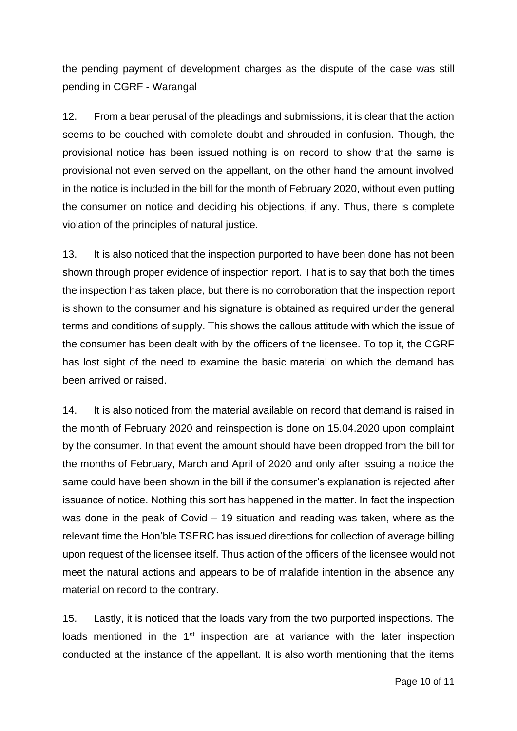the pending payment of development charges as the dispute of the case was still pending in CGRF - Warangal

12. From a bear perusal of the pleadings and submissions, it is clear that the action seems to be couched with complete doubt and shrouded in confusion. Though, the provisional notice has been issued nothing is on record to show that the same is provisional not even served on the appellant, on the other hand the amount involved in the notice is included in the bill for the month of February 2020, without even putting the consumer on notice and deciding his objections, if any. Thus, there is complete violation of the principles of natural justice.

13. It is also noticed that the inspection purported to have been done has not been shown through proper evidence of inspection report. That is to say that both the times the inspection has taken place, but there is no corroboration that the inspection report is shown to the consumer and his signature is obtained as required under the general terms and conditions of supply. This shows the callous attitude with which the issue of the consumer has been dealt with by the officers of the licensee. To top it, the CGRF has lost sight of the need to examine the basic material on which the demand has been arrived or raised.

14. It is also noticed from the material available on record that demand is raised in the month of February 2020 and reinspection is done on 15.04.2020 upon complaint by the consumer. In that event the amount should have been dropped from the bill for the months of February, March and April of 2020 and only after issuing a notice the same could have been shown in the bill if the consumer's explanation is rejected after issuance of notice. Nothing this sort has happened in the matter. In fact the inspection was done in the peak of Covid – 19 situation and reading was taken, where as the relevant time the Hon'ble TSERC has issued directions for collection of average billing upon request of the licensee itself. Thus action of the officers of the licensee would not meet the natural actions and appears to be of malafide intention in the absence any material on record to the contrary.

15. Lastly, it is noticed that the loads vary from the two purported inspections. The loads mentioned in the  $1<sup>st</sup>$  inspection are at variance with the later inspection conducted at the instance of the appellant. It is also worth mentioning that the items